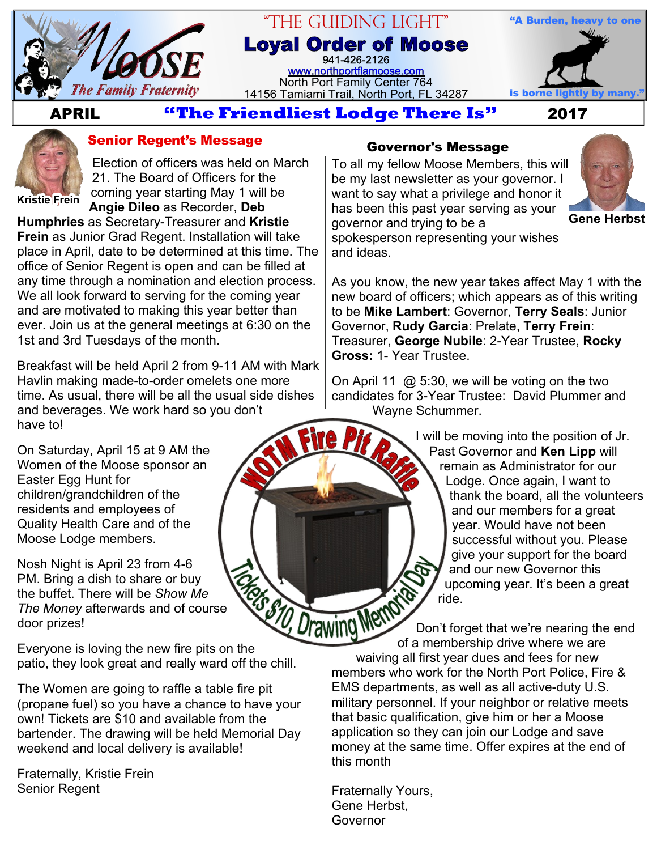

### "The Guiding Light" **Loyal Order of Moose** 941-426-2126

[www.northportflamoose.com](http://www.northportflamoose.com) North Port Family Center 764 14156 Tamiami Trail, North Port, FL 34287 is borne li



 **APRIL 2017**



#### **Senior Regent's Message**

Election of officers was held on March 21. The Board of Officers for the coming year starting May 1 will be

**Kristie Frein**

**Angie Dileo** as Recorder, **Deb Humphries** as Secretary-Treasurer and **Kristie Frein** as Junior Grad Regent. Installation will take place in April, date to be determined at this time. The office of Senior Regent is open and can be filled at any time through a nomination and election process. We all look forward to serving for the coming year and are motivated to making this year better than ever. Join us at the general meetings at 6:30 on the 1st and 3rd Tuesdays of the month.

Breakfast will be held April 2 from 9-11 AM with Mark Havlin making made-to-order omelets one more time. As usual, there will be all the usual side dishes and beverages. We work hard so you don't have to!

On Saturday, April 15 at 9 AM the Women of the Moose sponsor an Easter Egg Hunt for children/grandchildren of the residents and employees of Quality Health Care and of the Moose Lodge members.

Nosh Night is April 23 from 4-6 PM. Bring a dish to share or buy the buffet. There will be *Show Me The Money* afterwards and of course door prizes! PM. Bring a dish to share or buy<br>the buffet. There will be Show Me<br>The Money afterwards and of course<br>door prizes!<br>Everyone is loving the new fire pits on the

patio, they look great and really ward off the chill.

The Women are going to raffle a table fire pit (propane fuel) so you have a chance to have your own! Tickets are \$10 and available from the bartender. The drawing will be held Memorial Day weekend and local delivery is available!

Fraternally, Kristie Frein Senior Regent

#### **Governor's Message**

To all my fellow Moose Members, this will be my last newsletter as your governor. I want to say what a privilege and honor it has been this past year serving as your governor and trying to be a



**Gene Herbst**

spokesperson representing your wishes and ideas.

As you know, the new year takes affect May 1 with the new board of officers; which appears as of this writing to be **Mike Lambert**: Governor, **Terry Seals**: Junior Governor, **Rudy Garcia**: Prelate, **Terry Frein**: Treasurer, **George Nubile**: 2-Year Trustee, **Rocky Gross:** 1- Year Trustee.

On April 11  $\omega$  5:30, we will be voting on the two candidates for 3-Year Trustee: David Plummer and Wayne Schummer.

> I will be moving into the position of Jr. Past Governor and **Ken Lipp** will remain as Administrator for our Lodge. Once again, I want to thank the board, all the volunteers and our members for a great year. Would have not been successful without you. Please give your support for the board and our new Governor this upcoming year. It's been a great ride.

Don't forget that we're nearing the end of a membership drive where we are waiving all first year dues and fees for new members who work for the North Port Police, Fire & EMS departments, as well as all active-duty U.S. military personnel. If your neighbor or relative meets that basic qualification, give him or her a Moose application so they can join our Lodge and save money at the same time. Offer expires at the end of this month

Fraternally Yours, Gene Herbst, Governor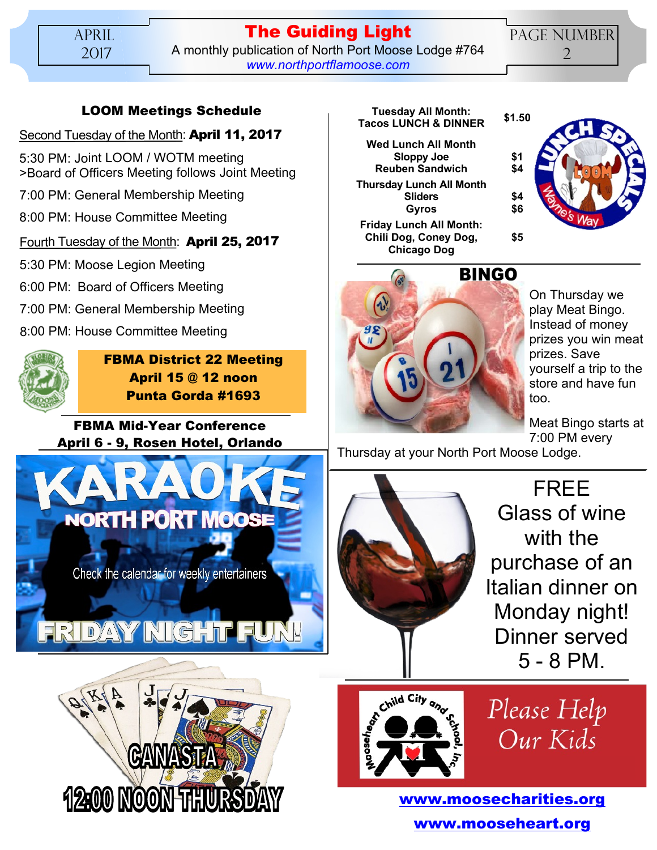**The Guiding Light** A monthly publication of North Port Moose Lodge #764 *[www.northportflamoose.com](http://www.northportflamoose.com)*

PAGE NUMBER 2

**\$1 \$4**

**\$4 \$6**

**\$5**

#### **LOOM Meetings Schedule**

#### Second Tuesday of the Month: **April 11, 2017**

5:30 PM: Joint LOOM / WOTM meeting >Board of Officers Meeting follows Joint Meeting

7:00 PM: General Membership Meeting

8:00 PM: House Committee Meeting

#### Fourth Tuesday of the Month: **April 25, 2017**

5:30 PM: Moose Legion Meeting

6:00 PM: Board of Officers Meeting

7:00 PM: General Membership Meeting

8:00 PM: House Committee Meeting



**FBMA District 22 Meeting April 15 @ 12 noon Punta Gorda #1693**

**FBMA Mid-Year Conference April 6 - 9, Rosen Hotel, Orlando**





#### **Tuesday All Month: Tacos LUNCH & DINNER \$1.50**

**Wed Lunch All Month Sloppy Joe Reuben Sandwich Thursday Lunch All Month Sliders Gyros**

**Friday Lunch All Month: Chili Dog, Coney Dog, Chicago Dog**



On Thursday we play Meat Bingo. Instead of money prizes you win meat prizes. Save yourself a trip to the store and have fun too.

Meat Bingo starts at 7:00 PM every

Thursday at your North Port Moose Lodge.



FREE Glass of wine with the purchase of an Italian dinner on Monday night! Dinner served 5 - 8 PM.



Please Help Our Kids

**[www.moosecharities.org](http://www.moosecharities.org) [www.mooseheart.org](http://www.mooseheart.org)**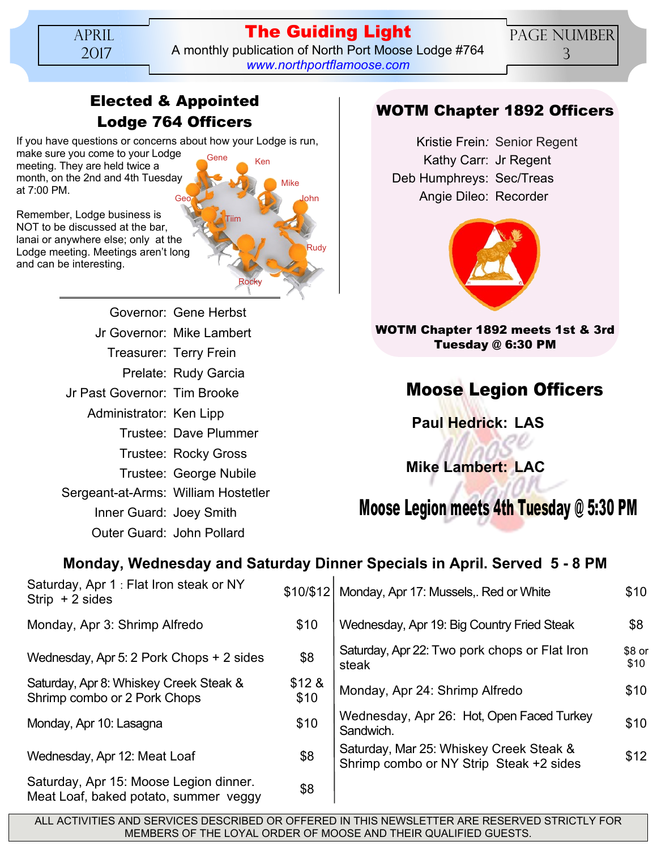APRIL 2017

### **The Guiding Light** A monthly publication of North Port Moose Lodge #764 *[www.northportflamoose.com](http://www.northportflamoose.com)*

Rudy

John

Mike

## **Elected & Appointed Lodge 764 Officers**

Tiim

Rocky

If you have questions or concerns about how your Lodge is run, make sure you come to your Lodge Ken Gene

meeting. They are held twice a month, on the 2nd and 4th Tuesday at 7:00 PM. Geo

Remember, Lodge business is NOT to be discussed at the bar, lanai or anywhere else; only at the Lodge meeting. Meetings aren't long and can be interesting.

> Governor: Gene Herbst Jr Governor: Mike Lambert Treasurer: Terry Frein Prelate: Rudy Garcia Jr Past Governor: Tim Brooke Administrator: Ken Lipp Trustee: Dave Plummer Trustee: Rocky Gross Trustee: George Nubile Sergeant-at-Arms: William Hostetler Inner Guard: Joey Smith Outer Guard: John Pollard

# **WOTM Chapter 1892 Officers**

Kristie Frein*:* Senior Regent Kathy Carr: Jr Regent Deb Humphreys: Sec/Treas Angie Dileo: Recorder



#### **WOTM Chapter 1892 meets 1st & 3rd Tuesday @ 6:30 PM**

# **Moose Legion Officers**

**Paul Hedrick: LAS**

**Mike Lambert: LAC**

**Moose Legion meets 4th Tuesday @ 5:30 PM**

# **Monday, Wednesday and Saturday Dinner Specials in April. Served 5 - 8 PM**

| Saturday, Apr 1 : Flat Iron steak or NY<br>$String + 2 sides$                   |               | \$10/\$12   Monday, Apr 17: Mussels,. Red or White                                 | \$10           |
|---------------------------------------------------------------------------------|---------------|------------------------------------------------------------------------------------|----------------|
| Monday, Apr 3: Shrimp Alfredo                                                   | \$10          | Wednesday, Apr 19: Big Country Fried Steak                                         | \$8            |
| Wednesday, Apr 5: 2 Pork Chops + 2 sides                                        | \$8           | Saturday, Apr 22: Two pork chops or Flat Iron<br>steak                             | \$8 or<br>\$10 |
| Saturday, Apr 8: Whiskey Creek Steak &<br>Shrimp combo or 2 Pork Chops          | \$128<br>\$10 | Monday, Apr 24: Shrimp Alfredo                                                     | \$10           |
| Monday, Apr 10: Lasagna                                                         | \$10          | Wednesday, Apr 26: Hot, Open Faced Turkey<br>Sandwich.                             | \$10           |
| Wednesday, Apr 12: Meat Loaf                                                    | \$8           | Saturday, Mar 25: Whiskey Creek Steak &<br>Shrimp combo or NY Strip Steak +2 sides | \$12           |
| Saturday, Apr 15: Moose Legion dinner.<br>Meat Loaf, baked potato, summer veggy | \$8           |                                                                                    |                |

ALL ACTIVITIES AND SERVICES DESCRIBED OR OFFERED IN THIS NEWSLETTER ARE RESERVED STRICTLY FOR MEMBERS OF THE LOYAL ORDER OF MOOSE AND THEIR QUALIFIED GUESTS.